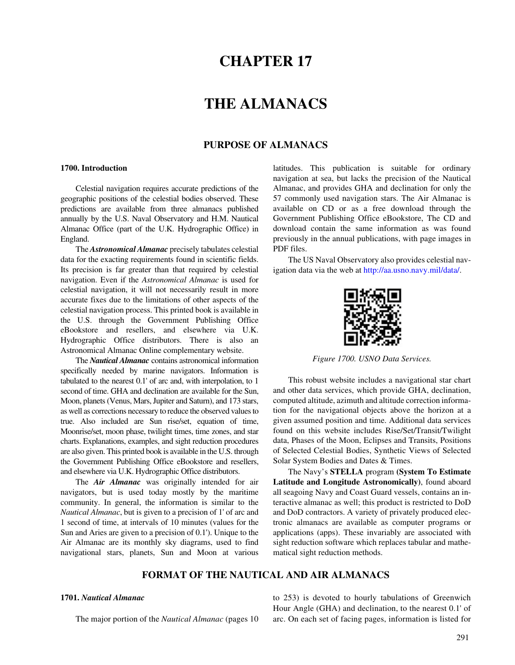## **CHAPTER 17**

# **THE ALMANACS**

## **PURPOSE OF ALMANACS**

#### **1700. Introduction**

Celestial navigation requires accurate predictions of the geographic positions of the celestial bodies observed. These predictions are available from three almanacs published annually by the U.S. Naval Observatory and H.M. Nautical Almanac Office (part of the U.K. Hydrographic Office) in England.

The *Astronomical Almanac* precisely tabulates celestial data for the exacting requirements found in scientific fields. Its precision is far greater than that required by celestial navigation. Even if the *Astronomical Almanac* is used for celestial navigation, it will not necessarily result in more accurate fixes due to the limitations of other aspects of the celestial navigation process. This printed book is available in the U.S. through the Government Publishing Office eBookstore and resellers, and elsewhere via U.K. Hydrographic Office distributors. There is also an Astronomical Almanac Online complementary website.

The *Nautical Almanac* contains astronomical information specifically needed by marine navigators. Information is tabulated to the nearest 0.1' of arc and, with interpolation, to 1 second of time. GHA and declination are available for the Sun, Moon, planets (Venus, Mars, Jupiter and Saturn), and 173 stars, as well as corrections necessary to reduce the observed values to true. Also included are Sun rise/set, equation of time, Moonrise/set, moon phase, twilight times, time zones, and star charts. Explanations, examples, and sight reduction procedures are also given. This printed book is available in the U.S. through the Government Publishing Office eBookstore and resellers, and elsewhere via U.K. Hydrographic Office distributors.

The *Air Almanac* was originally intended for air navigators, but is used today mostly by the maritime community. In general, the information is similar to the *Nautical Almanac*, but is given to a precision of 1' of arc and 1 second of time, at intervals of 10 minutes (values for the Sun and Aries are given to a precision of 0.1'). Unique to the Air Almanac are its monthly sky diagrams, used to find navigational stars, planets, Sun and Moon at various

latitudes. This publication is suitable for ordinary navigation at sea, but lacks the precision of the Nautical Almanac, and provides GHA and declination for only the 57 commonly used navigation stars. The Air Almanac is available on CD or as a free download through the Government Publishing Office eBookstore, The CD and download contain the same information as was found previously in the annual publications, with page images in PDF files.

The US Naval Observatory also provides celestial navigation data via the web at http://aa.usno.navy.mil/data/.



*Figure 1700. USNO Data Services.*

This robust website includes a navigational star chart and other data services, which provide GHA, declination, computed altitude, azimuth and altitude correction information for the navigational objects above the horizon at a given assumed position and time. Additional data services found on this website includes Rise/Set/Transit/Twilight data, Phases of the Moon, Eclipses and Transits, Positions of Selected Celestial Bodies, Synthetic Views of Selected Solar System Bodies and Dates & Times.

The Navy's **STELLA** program **(System To Estimate Latitude and Longitude Astronomically)**, found aboard all seagoing Navy and Coast Guard vessels, contains an interactive almanac as well; this product is restricted to DoD and DoD contractors. A variety of privately produced electronic almanacs are available as computer programs or applications (apps). These invariably are associated with sight reduction software which replaces tabular and mathematical sight reduction methods.

## **FORMAT OF THE NAUTICAL AND AIR ALMANACS**

#### **1701.** *Nautical Almanac*

The major portion of the *Nautical Almanac* (pages 10

to 253) is devoted to hourly tabulations of Greenwich Hour Angle (GHA) and declination, to the nearest 0.1' of arc. On each set of facing pages, information is listed for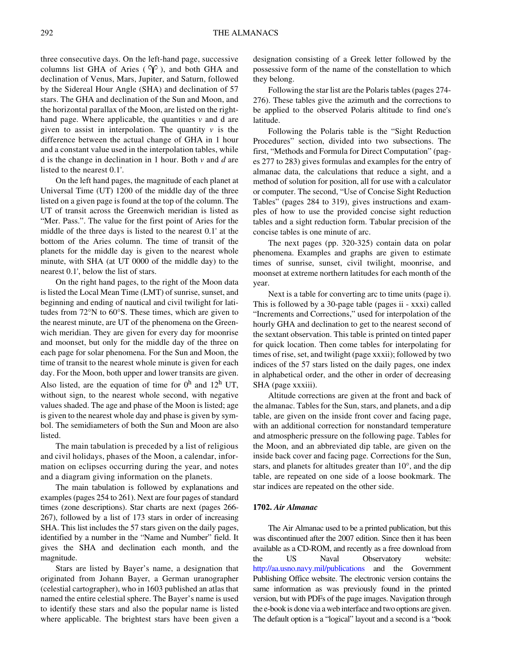three consecutive days. On the left-hand page, successive columns list GHA of Aries ( $\varphi$ ), and both GHA and declination of Venus, Mars, Jupiter, and Saturn, followed by the Sidereal Hour Angle (SHA) and declination of 57 stars. The GHA and declination of the Sun and Moon, and the horizontal parallax of the Moon, are listed on the righthand page. Where applicable, the quantities  $\nu$  and d are given to assist in interpolation. The quantity  $\nu$  is the difference between the actual change of GHA in 1 hour and a constant value used in the interpolation tables, while d is the change in declination in 1 hour. Both *v* and *d* are listed to the nearest 0.1'.

On the left hand pages, the magnitude of each planet at Universal Time (UT) 1200 of the middle day of the three listed on a given page is found at the top of the column. The UT of transit across the Greenwich meridian is listed as "Mer. Pass.". The value for the first point of Aries for the middle of the three days is listed to the nearest 0.1' at the bottom of the Aries column. The time of transit of the planets for the middle day is given to the nearest whole minute, with SHA (at UT 0000 of the middle day) to the nearest 0.1', below the list of stars.

On the right hand pages, to the right of the Moon data is listed the Local Mean Time (LMT) of sunrise, sunset, and beginning and ending of nautical and civil twilight for latitudes from 72°N to 60°S. These times, which are given to the nearest minute, are UT of the phenomena on the Greenwich meridian. They are given for every day for moonrise and moonset, but only for the middle day of the three on each page for solar phenomena. For the Sun and Moon, the time of transit to the nearest whole minute is given for each day. For the Moon, both upper and lower transits are given. Also listed, are the equation of time for  $0^h$  and  $12^h$  UT, without sign, to the nearest whole second, with negative values shaded. The age and phase of the Moon is listed; age is given to the nearest whole day and phase is given by symbol. The semidiameters of both the Sun and Moon are also listed.

The main tabulation is preceded by a list of religious and civil holidays, phases of the Moon, a calendar, information on eclipses occurring during the year, and notes and a diagram giving information on the planets.

The main tabulation is followed by explanations and examples (pages 254 to 261). Next are four pages of standard times (zone descriptions). Star charts are next (pages 266- 267), followed by a list of 173 stars in order of increasing SHA. This list includes the 57 stars given on the daily pages, identified by a number in the "Name and Number" field. It gives the SHA and declination each month, and the magnitude.

Stars are listed by Bayer's name, a designation that originated from Johann Bayer, a German uranographer (celestial cartographer), who in 1603 published an atlas that named the entire celestial sphere. The Bayer's name is used to identify these stars and also the popular name is listed where applicable. The brightest stars have been given a designation consisting of a Greek letter followed by the possessive form of the name of the constellation to which they belong.

Following the star list are the Polaris tables (pages 274- 276). These tables give the azimuth and the corrections to be applied to the observed Polaris altitude to find one's latitude.

Following the Polaris table is the "Sight Reduction Procedures" section, divided into two subsections. The first, "Methods and Formula for Direct Computation" (pages 277 to 283) gives formulas and examples for the entry of almanac data, the calculations that reduce a sight, and a method of solution for position, all for use with a calculator or computer. The second, "Use of Concise Sight Reduction Tables" (pages 284 to 319), gives instructions and examples of how to use the provided concise sight reduction tables and a sight reduction form. Tabular precision of the concise tables is one minute of arc.

The next pages (pp. 320-325) contain data on polar phenomena. Examples and graphs are given to estimate times of sunrise, sunset, civil twilight, moonrise, and moonset at extreme northern latitudes for each month of the year.

Next is a table for converting arc to time units (page i). This is followed by a 30-page table (pages ii - xxxi) called "Increments and Corrections," used for interpolation of the hourly GHA and declination to get to the nearest second of the sextant observation. This table is printed on tinted paper for quick location. Then come tables for interpolating for times of rise, set, and twilight (page xxxii); followed by two indices of the 57 stars listed on the daily pages, one index in alphabetical order, and the other in order of decreasing SHA (page xxxiii).

Altitude corrections are given at the front and back of the almanac. Tables for the Sun, stars, and planets, and a dip table, are given on the inside front cover and facing page, with an additional correction for nonstandard temperature and atmospheric pressure on the following page. Tables for the Moon, and an abbreviated dip table, are given on the inside back cover and facing page. Corrections for the Sun, stars, and planets for altitudes greater than 10°, and the dip table, are repeated on one side of a loose bookmark. The star indices are repeated on the other side.

#### **1702.** *Air Almanac*

The Air Almanac used to be a printed publication, but this was discontinued after the 2007 edition. Since then it has been available as a CD-ROM, and recently as a free download from the US Naval Observatory website: http://aa.usno.navy.mil/publications and the Government Publishing Office website. The electronic version contains the same information as was previously found in the printed version, but with PDFs of the page images. Navigation through the e-book is done via a web interface and two options are given. The default option is a "logical" layout and a second is a "book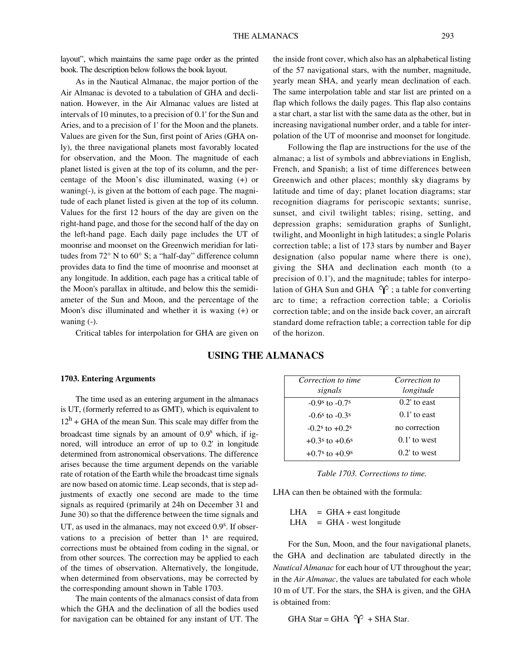layout", which maintains the same page order as the printed book. The description below follows the book layout.

As in the Nautical Almanac, the major portion of the Air Almanac is devoted to a tabulation of GHA and declination. However, in the Air Almanac values are listed at intervals of 10 minutes, to a precision of 0.1' for the Sun and Aries, and to a precision of 1' for the Moon and the planets. Values are given for the Sun, first point of Aries (GHA only), the three navigational planets most favorably located for observation, and the Moon. The magnitude of each planet listed is given at the top of its column, and the percentage of the Moon's disc illuminated, waxing (+) or waning(-), is given at the bottom of each page. The magnitude of each planet listed is given at the top of its column. Values for the first 12 hours of the day are given on the right-hand page, and those for the second half of the day on the left-hand page. Each daily page includes the UT of moonrise and moonset on the Greenwich meridian for latitudes from 72° N to 60° S; a "half-day" difference column provides data to find the time of moonrise and moonset at any longitude. In addition, each page has a critical table of the Moon's parallax in altitude, and below this the semidiameter of the Sun and Moon, and the percentage of the Moon's disc illuminated and whether it is waxing (+) or waning (-).

Critical tables for interpolation for GHA are given on

the inside front cover, which also has an alphabetical listing of the 57 navigational stars, with the number, magnitude, yearly mean SHA, and yearly mean declination of each. The same interpolation table and star list are printed on a flap which follows the daily pages. This flap also contains a star chart, a star list with the same data as the other, but in increasing navigational number order, and a table for interpolation of the UT of moonrise and moonset for longitude.

Following the flap are instructions for the use of the almanac; a list of symbols and abbreviations in English, French, and Spanish; a list of time differences between Greenwich and other places; monthly sky diagrams by latitude and time of day; planet location diagrams; star recognition diagrams for periscopic sextants; sunrise, sunset, and civil twilight tables; rising, setting, and depression graphs; semiduration graphs of Sunlight, twilight, and Moonlight in high latitudes; a single Polaris correction table; a list of 173 stars by number and Bayer designation (also popular name where there is one), giving the SHA and declination each month (to a precision of 0.1'), and the magnitude; tables for interpolation of GHA Sun and GHA  $\varphi$ ; a table for converting arc to time; a refraction correction table; a Coriolis correction table; and on the inside back cover, an aircraft standard dome refraction table; a correction table for dip of the horizon.

## **USING THE ALMANACS**

### **1703. Entering Arguments**

The time used as an entering argument in the almanacs is UT, (formerly referred to as GMT), which is equivalent to  $12<sup>h</sup>$  + GHA of the mean Sun. This scale may differ from the broadcast time signals by an amount of 0.9<sup>s</sup> which, if ignored, will introduce an error of up to 0.2' in longitude determined from astronomical observations. The difference arises because the time argument depends on the variable rate of rotation of the Earth while the broadcast time signals are now based on atomic time. Leap seconds, that is step adjustments of exactly one second are made to the time signals as required (primarily at 24h on December 31 and June 30) so that the difference between the time signals and

UT, as used in the almanacs, may not exceed 0.9<sup>s</sup>. If observations to a precision of better than 1<sup>s</sup> are required, corrections must be obtained from coding in the signal, or from other sources. The correction may be applied to each of the times of observation. Alternatively, the longitude, when determined from observations, may be corrected by the corresponding amount shown in Table 1703.

The main contents of the almanacs consist of data from which the GHA and the declination of all the bodies used for navigation can be obtained for any instant of UT. The

| Correction to time                         | Correction to   |
|--------------------------------------------|-----------------|
| signals                                    | longitude       |
| $-0.9s$ to $-0.7s$                         | $0.2'$ to east  |
| $-0.6s$ to $-0.3s$                         | $0.1$ to east   |
| $-0.2$ <sup>s</sup> to $+0.2$ <sup>s</sup> | no correction   |
| $+0.3$ to $+0.6$ <sup>s</sup>              | $0.1$ ' to west |
| $+0.7$ to $+0.9$ s                         | $0.2'$ to west  |

*Table 1703. Corrections to time.*

LHA can then be obtained with the formula:

 $LHA = GHA + east longitude$  $LHA = GHA$  - west longitude

For the Sun, Moon, and the four navigational planets, the GHA and declination are tabulated directly in the *Nautical Almanac* for each hour of UT throughout the year; in the *Air Almanac*, the values are tabulated for each whole 10 m of UT. For the stars, the SHA is given, and the GHA is obtained from:

$$
GHA Star = GHA \, \, \hat{P} + SHA Star.
$$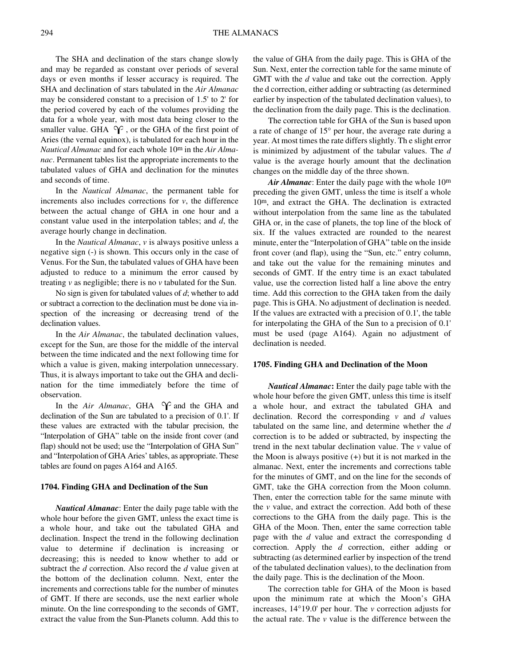The SHA and declination of the stars change slowly and may be regarded as constant over periods of several days or even months if lesser accuracy is required. The SHA and declination of stars tabulated in the *Air Almanac* may be considered constant to a precision of 1.5' to 2' for the period covered by each of the volumes providing the data for a whole year, with most data being closer to the smaller value. GHA  $\varphi$ , or the GHA of the first point of Aries (the vernal equinox), is tabulated for each hour in the *Nautical Almanac* and for each whole 10m in the *Air Almanac*. Permanent tables list the appropriate increments to the tabulated values of GHA and declination for the minutes and seconds of time.

In the *Nautical Almanac*, the permanent table for increments also includes corrections for  $v$ , the difference between the actual change of GHA in one hour and a constant value used in the interpolation tables; and *d*, the average hourly change in declination.

In the *Nautical Almanac*, *v* is always positive unless a negative sign (-) is shown. This occurs only in the case of Venus. For the Sun, the tabulated values of GHA have been adjusted to reduce to a minimum the error caused by treating *v* as negligible; there is no *v* tabulated for the Sun.

No sign is given for tabulated values of *d*; whether to add or subtract a correction to the declination must be done via inspection of the increasing or decreasing trend of the declination values.

In the *Air Almanac*, the tabulated declination values, except for the Sun, are those for the middle of the interval between the time indicated and the next following time for which a value is given, making interpolation unnecessary. Thus, it is always important to take out the GHA and declination for the time immediately before the time of observation.

In the *Air Almanac*, GHA  $\varphi$  and the GHA and declination of the Sun are tabulated to a precision of 0.1'. If these values are extracted with the tabular precision, the "Interpolation of GHA" table on the inside front cover (and flap) should not be used; use the "Interpolation of GHA Sun" and "Interpolation of GHA Aries' tables, as appropriate. These tables are found on pages A164 and A165.

#### **1704. Finding GHA and Declination of the Sun**

*Nautical Almanac*: Enter the daily page table with the whole hour before the given GMT, unless the exact time is a whole hour, and take out the tabulated GHA and declination. Inspect the trend in the following declination value to determine if declination is increasing or decreasing; this is needed to know whether to add or subtract the *d* correction. Also record the *d* value given at the bottom of the declination column. Next, enter the increments and corrections table for the number of minutes of GMT. If there are seconds, use the next earlier whole minute. On the line corresponding to the seconds of GMT, extract the value from the Sun-Planets column. Add this to

the value of GHA from the daily page. This is GHA of the Sun. Next, enter the correction table for the same minute of GMT with the *d* value and take out the correction. Apply the d correction, either adding or subtracting (as determined earlier by inspection of the tabulated declination values), to the declination from the daily page. This is the declination.

The correction table for GHA of the Sun is based upon a rate of change of 15° per hour, the average rate during a year. At most times the rate differs slightly. Th e slight error is minimized by adjustment of the tabular values. The *d* value is the average hourly amount that the declination changes on the middle day of the three shown.

*Air Almanac*: Enter the daily page with the whole 10m preceding the given GMT, unless the time is itself a whole 10m, and extract the GHA. The declination is extracted without interpolation from the same line as the tabulated GHA or, in the case of planets, the top line of the block of six. If the values extracted are rounded to the nearest minute, enter the "Interpolation of GHA" table on the inside front cover (and flap), using the "Sun, etc." entry column, and take out the value for the remaining minutes and seconds of GMT. If the entry time is an exact tabulated value, use the correction listed half a line above the entry time. Add this correction to the GHA taken from the daily page. This is GHA. No adjustment of declination is needed. If the values are extracted with a precision of 0.1', the table for interpolating the GHA of the Sun to a precision of 0.1' must be used (page A164). Again no adjustment of declination is needed.

#### **1705. Finding GHA and Declination of the Moon**

*Nautical Almanac***:** Enter the daily page table with the whole hour before the given GMT, unless this time is itself a whole hour, and extract the tabulated GHA and declination. Record the corresponding *v* and *d* values tabulated on the same line, and determine whether the *d* correction is to be added or subtracted, by inspecting the trend in the next tabular declination value. The *v* value of the Moon is always positive (+) but it is not marked in the almanac. Next, enter the increments and corrections table for the minutes of GMT, and on the line for the seconds of GMT, take the GHA correction from the Moon column. Then, enter the correction table for the same minute with the *v* value, and extract the correction. Add both of these corrections to the GHA from the daily page. This is the GHA of the Moon. Then, enter the same correction table page with the *d* value and extract the corresponding d correction. Apply the *d* correction, either adding or subtracting (as determined earlier by inspection of the trend of the tabulated declination values), to the declination from the daily page. This is the declination of the Moon.

The correction table for GHA of the Moon is based upon the minimum rate at which the Moon's GHA increases, 14°19.0' per hour. The *v* correction adjusts for the actual rate. The *v* value is the difference between the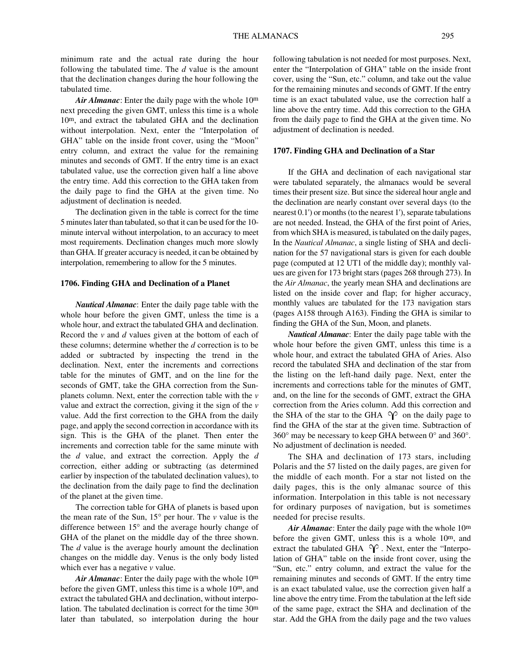minimum rate and the actual rate during the hour following the tabulated time. The *d* value is the amount that the declination changes during the hour following the tabulated time.

*Air Almanac*: Enter the daily page with the whole 10m next preceding the given GMT, unless this time is a whole 10m, and extract the tabulated GHA and the declination without interpolation. Next, enter the "Interpolation of GHA" table on the inside front cover, using the "Moon" entry column, and extract the value for the remaining minutes and seconds of GMT. If the entry time is an exact tabulated value, use the correction given half a line above the entry time. Add this correction to the GHA taken from the daily page to find the GHA at the given time. No adjustment of declination is needed.

The declination given in the table is correct for the time 5 minutes later than tabulated, so that it can be used for the 10 minute interval without interpolation, to an accuracy to meet most requirements. Declination changes much more slowly than GHA. If greater accuracy is needed, it can be obtained by interpolation, remembering to allow for the 5 minutes.

#### **1706. Finding GHA and Declination of a Planet**

*Nautical Almanac*: Enter the daily page table with the whole hour before the given GMT, unless the time is a whole hour, and extract the tabulated GHA and declination. Record the *v* and *d* values given at the bottom of each of these columns; determine whether the *d* correction is to be added or subtracted by inspecting the trend in the declination. Next, enter the increments and corrections table for the minutes of GMT, and on the line for the seconds of GMT, take the GHA correction from the Sunplanets column. Next, enter the correction table with the *v* value and extract the correction, giving it the sign of the *v* value. Add the first correction to the GHA from the daily page, and apply the second correction in accordance with its sign. This is the GHA of the planet. Then enter the increments and correction table for the same minute with the *d* value, and extract the correction. Apply the *d* correction, either adding or subtracting (as determined earlier by inspection of the tabulated declination values), to the declination from the daily page to find the declination of the planet at the given time.

The correction table for GHA of planets is based upon the mean rate of the Sun,  $15^{\circ}$  per hour. The *v* value is the difference between 15° and the average hourly change of GHA of the planet on the middle day of the three shown. The *d* value is the average hourly amount the declination changes on the middle day. Venus is the only body listed which ever has a negative *v* value.

*Air Almanac*: Enter the daily page with the whole 10m before the given GMT, unless this time is a whole 10m, and extract the tabulated GHA and declination, without interpolation. The tabulated declination is correct for the time 30m later than tabulated, so interpolation during the hour following tabulation is not needed for most purposes. Next, enter the "Interpolation of GHA" table on the inside front cover, using the "Sun, etc." column, and take out the value for the remaining minutes and seconds of GMT. If the entry time is an exact tabulated value, use the correction half a line above the entry time. Add this correction to the GHA from the daily page to find the GHA at the given time. No adjustment of declination is needed.

#### **1707. Finding GHA and Declination of a Star**

If the GHA and declination of each navigational star were tabulated separately, the almanacs would be several times their present size. But since the sidereal hour angle and the declination are nearly constant over several days (to the nearest 0.1') or months (to the nearest 1'), separate tabulations are not needed. Instead, the GHA of the first point of Aries, from which SHA is measured, is tabulated on the daily pages, In the *Nautical Almanac*, a single listing of SHA and declination for the 57 navigational stars is given for each double page (computed at 12 UT1 of the middle day); monthly values are given for 173 bright stars (pages 268 through 273). In the *Air Almanac*, the yearly mean SHA and declinations are listed on the inside cover and flap; for higher accuracy, monthly values are tabulated for the 173 navigation stars (pages A158 through A163). Finding the GHA is similar to finding the GHA of the Sun, Moon, and planets.

*Nautical Almanac*: Enter the daily page table with the whole hour before the given GMT, unless this time is a whole hour, and extract the tabulated GHA of Aries. Also record the tabulated SHA and declination of the star from the listing on the left-hand daily page. Next, enter the increments and corrections table for the minutes of GMT, and, on the line for the seconds of GMT, extract the GHA correction from the Aries column. Add this correction and the SHA of the star to the GHA  $\varphi$  on the daily page to find the GHA of the star at the given time. Subtraction of 360° may be necessary to keep GHA between 0° and 360°. No adjustment of declination is needed.

The SHA and declination of 173 stars, including Polaris and the 57 listed on the daily pages, are given for the middle of each month. For a star not listed on the daily pages, this is the only almanac source of this information. Interpolation in this table is not necessary for ordinary purposes of navigation, but is sometimes needed for precise results.

*Air Almanac*: Enter the daily page with the whole 10m before the given GMT, unless this is a whole 10m, and extract the tabulated GHA  $\varphi$ . Next, enter the "Interpolation of GHA" table on the inside front cover, using the "Sun, etc." entry column, and extract the value for the remaining minutes and seconds of GMT. If the entry time is an exact tabulated value, use the correction given half a line above the entry time. From the tabulation at the left side of the same page, extract the SHA and declination of the star. Add the GHA from the daily page and the two values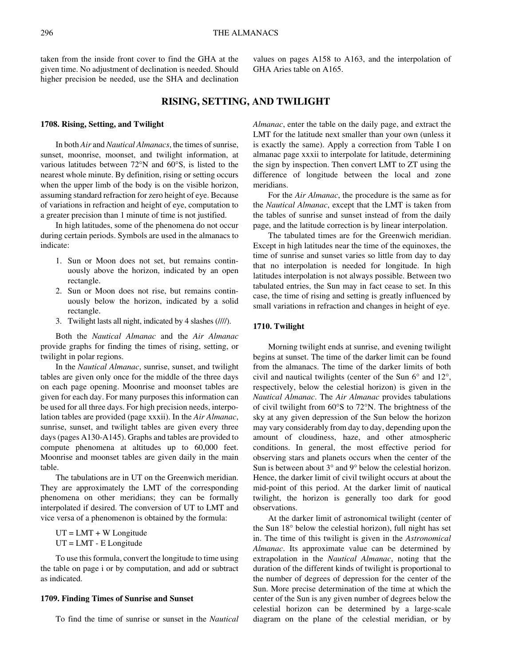taken from the inside front cover to find the GHA at the given time. No adjustment of declination is needed. Should higher precision be needed, use the SHA and declination values on pages A158 to A163, and the interpolation of GHA Aries table on A165.

## **RISING, SETTING, AND TWILIGHT**

### **1708. Rising, Setting, and Twilight**

In both *Air* and *Nautical Almanacs*, the times of sunrise, sunset, moonrise, moonset, and twilight information, at various latitudes between 72°N and 60°S, is listed to the nearest whole minute. By definition, rising or setting occurs when the upper limb of the body is on the visible horizon, assuming standard refraction for zero height of eye. Because of variations in refraction and height of eye, computation to a greater precision than 1 minute of time is not justified.

In high latitudes, some of the phenomena do not occur during certain periods. Symbols are used in the almanacs to indicate:

- 1. Sun or Moon does not set, but remains continuously above the horizon, indicated by an open rectangle.
- 2. Sun or Moon does not rise, but remains continuously below the horizon, indicated by a solid rectangle.
- 3. Twilight lasts all night, indicated by 4 slashes (////).

Both the *Nautical Almanac* and the *Air Almanac* provide graphs for finding the times of rising, setting, or twilight in polar regions.

In the *Nautical Almanac*, sunrise, sunset, and twilight tables are given only once for the middle of the three days on each page opening. Moonrise and moonset tables are given for each day. For many purposes this information can be used for all three days. For high precision needs, interpolation tables are provided (page xxxii). In the *Air Almanac*, sunrise, sunset, and twilight tables are given every three days (pages A130-A145). Graphs and tables are provided to compute phenomena at altitudes up to 60,000 feet. Moonrise and moonset tables are given daily in the main table.

The tabulations are in UT on the Greenwich meridian. They are approximately the LMT of the corresponding phenomena on other meridians; they can be formally interpolated if desired. The conversion of UT to LMT and vice versa of a phenomenon is obtained by the formula:

 $UT = LMT + W$  Longitude UT = LMT - E Longitude

To use this formula, convert the longitude to time using the table on page i or by computation, and add or subtract as indicated.

#### **1709. Finding Times of Sunrise and Sunset**

To find the time of sunrise or sunset in the *Nautical*

*Almanac*, enter the table on the daily page, and extract the LMT for the latitude next smaller than your own (unless it is exactly the same). Apply a correction from Table I on almanac page xxxii to interpolate for latitude, determining the sign by inspection. Then convert LMT to ZT using the difference of longitude between the local and zone meridians.

For the *Air Almanac*, the procedure is the same as for the *Nautical Almanac*, except that the LMT is taken from the tables of sunrise and sunset instead of from the daily page, and the latitude correction is by linear interpolation.

The tabulated times are for the Greenwich meridian. Except in high latitudes near the time of the equinoxes, the time of sunrise and sunset varies so little from day to day that no interpolation is needed for longitude. In high latitudes interpolation is not always possible. Between two tabulated entries, the Sun may in fact cease to set. In this case, the time of rising and setting is greatly influenced by small variations in refraction and changes in height of eye.

#### **1710. Twilight**

Morning twilight ends at sunrise, and evening twilight begins at sunset. The time of the darker limit can be found from the almanacs. The time of the darker limits of both civil and nautical twilights (center of the Sun 6° and 12°, respectively, below the celestial horizon) is given in the *Nautical Almanac*. The *Air Almanac* provides tabulations of civil twilight from 60°S to 72°N. The brightness of the sky at any given depression of the Sun below the horizon may vary considerably from day to day, depending upon the amount of cloudiness, haze, and other atmospheric conditions. In general, the most effective period for observing stars and planets occurs when the center of the Sun is between about 3<sup>°</sup> and 9<sup>°</sup> below the celestial horizon. Hence, the darker limit of civil twilight occurs at about the mid-point of this period. At the darker limit of nautical twilight, the horizon is generally too dark for good observations.

At the darker limit of astronomical twilight (center of the Sun 18° below the celestial horizon), full night has set in. The time of this twilight is given in the *Astronomical Almanac*. Its approximate value can be determined by extrapolation in the *Nautical Almanac*, noting that the duration of the different kinds of twilight is proportional to the number of degrees of depression for the center of the Sun. More precise determination of the time at which the center of the Sun is any given number of degrees below the celestial horizon can be determined by a large-scale diagram on the plane of the celestial meridian, or by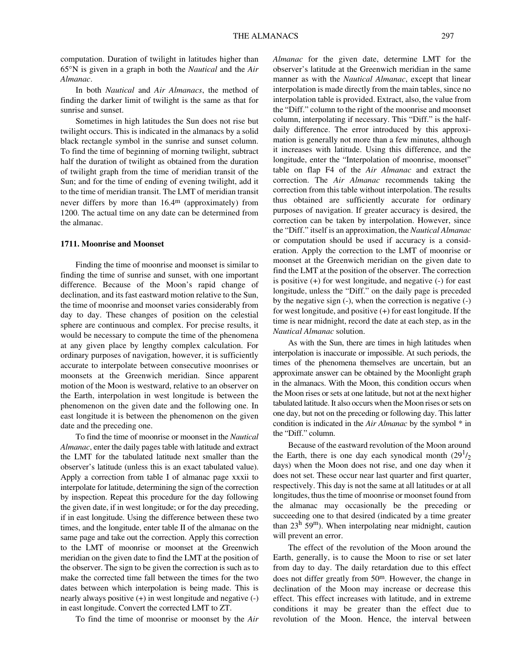computation. Duration of twilight in latitudes higher than 65°N is given in a graph in both the *Nautical* and the *Air Almanac*.

In both *Nautical* and *Air Almanacs*, the method of finding the darker limit of twilight is the same as that for sunrise and sunset.

Sometimes in high latitudes the Sun does not rise but twilight occurs. This is indicated in the almanacs by a solid black rectangle symbol in the sunrise and sunset column. To find the time of beginning of morning twilight, subtract half the duration of twilight as obtained from the duration of twilight graph from the time of meridian transit of the Sun; and for the time of ending of evening twilight, add it to the time of meridian transit. The LMT of meridian transit never differs by more than 16.4m (approximately) from 1200. The actual time on any date can be determined from the almanac.

#### **1711. Moonrise and Moonset**

Finding the time of moonrise and moonset is similar to finding the time of sunrise and sunset, with one important difference. Because of the Moon's rapid change of declination, and its fast eastward motion relative to the Sun, the time of moonrise and moonset varies considerably from day to day. These changes of position on the celestial sphere are continuous and complex. For precise results, it would be necessary to compute the time of the phenomena at any given place by lengthy complex calculation. For ordinary purposes of navigation, however, it is sufficiently accurate to interpolate between consecutive moonrises or moonsets at the Greenwich meridian. Since apparent motion of the Moon is westward, relative to an observer on the Earth, interpolation in west longitude is between the phenomenon on the given date and the following one. In east longitude it is between the phenomenon on the given date and the preceding one.

To find the time of moonrise or moonset in the *Nautical Almanac*, enter the daily pages table with latitude and extract the LMT for the tabulated latitude next smaller than the observer's latitude (unless this is an exact tabulated value). Apply a correction from table I of almanac page xxxii to interpolate for latitude, determining the sign of the correction by inspection. Repeat this procedure for the day following the given date, if in west longitude; or for the day preceding, if in east longitude. Using the difference between these two times, and the longitude, enter table II of the almanac on the same page and take out the correction. Apply this correction to the LMT of moonrise or moonset at the Greenwich meridian on the given date to find the LMT at the position of the observer. The sign to be given the correction is such as to make the corrected time fall between the times for the two dates between which interpolation is being made. This is nearly always positive  $(+)$  in west longitude and negative  $(-)$ in east longitude. Convert the corrected LMT to ZT.

To find the time of moonrise or moonset by the *Air*

*Almanac* for the given date, determine LMT for the observer's latitude at the Greenwich meridian in the same manner as with the *Nautical Almanac*, except that linear interpolation is made directly from the main tables, since no interpolation table is provided. Extract, also, the value from the "Diff." column to the right of the moonrise and moonset column, interpolating if necessary. This "Diff." is the halfdaily difference. The error introduced by this approximation is generally not more than a few minutes, although it increases with latitude. Using this difference, and the longitude, enter the "Interpolation of moonrise, moonset" table on flap F4 of the *Air Almanac* and extract the correction. The *Air Almanac* recommends taking the correction from this table without interpolation. The results thus obtained are sufficiently accurate for ordinary purposes of navigation. If greater accuracy is desired, the correction can be taken by interpolation. However, since the "Diff." itself is an approximation, the *Nautical Almanac* or computation should be used if accuracy is a consideration. Apply the correction to the LMT of moonrise or moonset at the Greenwich meridian on the given date to find the LMT at the position of the observer. The correction is positive (+) for west longitude, and negative (-) for east longitude, unless the "Diff." on the daily page is preceded by the negative sign (-), when the correction is negative (-) for west longitude, and positive (+) for east longitude. If the time is near midnight, record the date at each step, as in the *Nautical Almanac* solution.

As with the Sun, there are times in high latitudes when interpolation is inaccurate or impossible. At such periods, the times of the phenomena themselves are uncertain, but an approximate answer can be obtained by the Moonlight graph in the almanacs. With the Moon, this condition occurs when the Moon rises or sets at one latitude, but not at the next higher tabulated latitude. It also occurs when the Moon rises or sets on one day, but not on the preceding or following day. This latter condition is indicated in the *Air Almanac* by the symbol \* in the "Diff." column.

Because of the eastward revolution of the Moon around the Earth, there is one day each synodical month  $(29<sup>1</sup>/<sub>2</sub>)$ days) when the Moon does not rise, and one day when it does not set. These occur near last quarter and first quarter, respectively. This day is not the same at all latitudes or at all longitudes, thus the time of moonrise or moonset found from the almanac may occasionally be the preceding or succeeding one to that desired (indicated by a time greater than  $23^h$  59<sup>m</sup>). When interpolating near midnight, caution will prevent an error.

The effect of the revolution of the Moon around the Earth, generally, is to cause the Moon to rise or set later from day to day. The daily retardation due to this effect does not differ greatly from 50m. However, the change in declination of the Moon may increase or decrease this effect. This effect increases with latitude, and in extreme conditions it may be greater than the effect due to revolution of the Moon. Hence, the interval between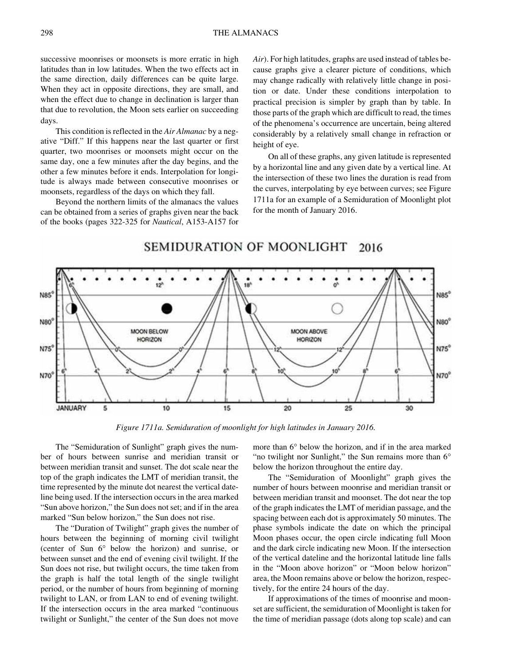successive moonrises or moonsets is more erratic in high latitudes than in low latitudes. When the two effects act in the same direction, daily differences can be quite large. When they act in opposite directions, they are small, and when the effect due to change in declination is larger than that due to revolution, the Moon sets earlier on succeeding days.

This condition is reflected in the *Air Almanac* by a negative "Diff." If this happens near the last quarter or first quarter, two moonrises or moonsets might occur on the same day, one a few minutes after the day begins, and the other a few minutes before it ends. Interpolation for longitude is always made between consecutive moonrises or moonsets, regardless of the days on which they fall.

Beyond the northern limits of the almanacs the values can be obtained from a series of graphs given near the back of the books (pages 322-325 for *Nautical*, A153-A157 for *Air*). For high latitudes, graphs are used instead of tables because graphs give a clearer picture of conditions, which may change radically with relatively little change in position or date. Under these conditions interpolation to practical precision is simpler by graph than by table. In those parts of the graph which are difficult to read, the times of the phenomena's occurrence are uncertain, being altered considerably by a relatively small change in refraction or height of eye.

On all of these graphs, any given latitude is represented by a horizontal line and any given date by a vertical line. At the intersection of these two lines the duration is read from the curves, interpolating by eye between curves; see Figure 1711a for an example of a Semiduration of Moonlight plot for the month of January 2016.



#### SEMIDURATION OF MOONLIGHT 2016

*Figure 1711a. Semiduration of moonlight for high latitudes in January 2016.*

The "Semiduration of Sunlight" graph gives the number of hours between sunrise and meridian transit or between meridian transit and sunset. The dot scale near the top of the graph indicates the LMT of meridian transit, the time represented by the minute dot nearest the vertical dateline being used. If the intersection occurs in the area marked "Sun above horizon," the Sun does not set; and if in the area marked "Sun below horizon," the Sun does not rise.

The "Duration of Twilight" graph gives the number of hours between the beginning of morning civil twilight (center of Sun 6° below the horizon) and sunrise, or between sunset and the end of evening civil twilight. If the Sun does not rise, but twilight occurs, the time taken from the graph is half the total length of the single twilight period, or the number of hours from beginning of morning twilight to LAN, or from LAN to end of evening twilight. If the intersection occurs in the area marked "continuous twilight or Sunlight," the center of the Sun does not move

more than 6° below the horizon, and if in the area marked "no twilight nor Sunlight," the Sun remains more than 6° below the horizon throughout the entire day.

The "Semiduration of Moonlight" graph gives the number of hours between moonrise and meridian transit or between meridian transit and moonset. The dot near the top of the graph indicates the LMT of meridian passage, and the spacing between each dot is approximately 50 minutes. The phase symbols indicate the date on which the principal Moon phases occur, the open circle indicating full Moon and the dark circle indicating new Moon. If the intersection of the vertical dateline and the horizontal latitude line falls in the "Moon above horizon" or "Moon below horizon" area, the Moon remains above or below the horizon, respectively, for the entire 24 hours of the day.

If approximations of the times of moonrise and moonset are sufficient, the semiduration of Moonlight is taken for the time of meridian passage (dots along top scale) and can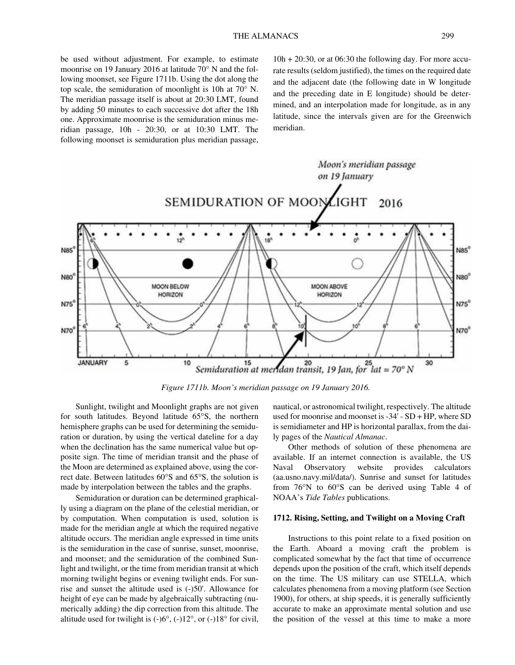be used without adjustment. For example, to estimate moonrise on 19 January 2016 at latitude 70° N and the following moonset, see Figure 1711b. Using the dot along the top scale, the semiduration of moonlight is 10h at 70° N. The meridian passage itself is about at 20:30 LMT, found by adding 50 minutes to each successive dot after the 18h one. Approximate moonrise is the semiduration minus meridian passage, 10h - 20:30, or at 10:30 LMT. The following moonset is semiduration plus meridian passage,

 $10h + 20:30$ , or at 06:30 the following day. For more accurate results (seldom justified), the times on the required date and the adjacent date (the following date in W longitude and the preceding date in E longitude) should be determined, and an interpolation made for longitude, as in any latitude, since the intervals given are for the Greenwich meridian.



*Figure 1711b. Moon's meridian passage on 19 January 2016.*

Sunlight, twilight and Moonlight graphs are not given for south latitudes. Beyond latitude 65°S, the northern hemisphere graphs can be used for determining the semiduration or duration, by using the vertical dateline for a day when the declination has the same numerical value but opposite sign. The time of meridian transit and the phase of the Moon are determined as explained above, using the correct date. Between latitudes 60°S and 65°S, the solution is made by interpolation between the tables and the graphs.

Semiduration or duration can be determined graphically using a diagram on the plane of the celestial meridian, or by computation. When computation is used, solution is made for the meridian angle at which the required negative altitude occurs. The meridian angle expressed in time units is the semiduration in the case of sunrise, sunset, moonrise, and moonset; and the semiduration of the combined Sunlight and twilight, or the time from meridian transit at which morning twilight begins or evening twilight ends. For sunrise and sunset the altitude used is (-)50'. Allowance for height of eye can be made by algebraically subtracting (numerically adding) the dip correction from this altitude. The altitude used for twilight is  $(-)6^\circ$ ,  $(-)12^\circ$ , or  $(-)18^\circ$  for civil,

nautical, or astronomical twilight, respectively. The altitude used for moonrise and moonset is -34' - SD + HP, where SD is semidiameter and HP is horizontal parallax, from the daily pages of the *Nautical Almanac*.

Other methods of solution of these phenomena are available. If an internet connection is available, the US Naval Observatory website provides calculators (aa.usno.navy.mil/data/). Sunrise and sunset for latitudes from 76°N to 60°S can be derived using Table 4 of NOAA's *Tide Tables* publications.

#### **1712. Rising, Setting, and Twilight on a Moving Craft**

Instructions to this point relate to a fixed position on the Earth. Aboard a moving craft the problem is complicated somewhat by the fact that time of occurrence depends upon the position of the craft, which itself depends on the time. The US military can use STELLA, which calculates phenomena from a moving platform (see Section 1900), for others, at ship speeds, it is generally sufficiently accurate to make an approximate mental solution and use the position of the vessel at this time to make a more